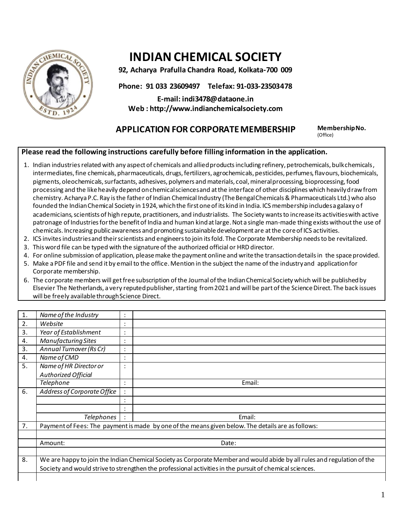

# **INDIAN CHEMICAL SOCIETY**

**92, Acharya Prafulla Chandra Road, Kolkata-700 009**

**Phone: 91 033 23609497 Telefax: 91-033-23503478**

**E-mail: indi3478@dataone.in Web : http://www.indianchemicalsociety.com**

## **APPLICATION FOR CORPORATE MEMBERSHIP Membership No.**

(Office)

### **Please read the following instructions carefully before filling information in the application.**

- 1. Indian industries related with any aspect of chemicals and allied products including refinery, petrochemicals, bulk chemicals, intermediates, fine chemicals, pharmaceuticals, drugs, fertilizers, agrochemicals, pesticides, perfumes, flavours, biochemicals, pigments, oleochemicals, surfactants, adhesives, polymers and materials, coal, mineral processing, bioprocessing, food processing and the like heavily depend on chemical sciences and at the interface of other disciplines which heavily draw from chemistry. Acharya P.C. Ray is the father of Indian Chemical Industry (The Bengal Chemicals & Pharmaceuticals Ltd.) who also founded the Indian Chemical Society in 1924, which the first one of its kind in India. ICS membership includes a galaxy of academicians, scientists of high repute, practitioners, and industrialists. The Society wants to increase its activities with active patronage of Industries for the benefit of India and human kindat large. Not a single man-made thing exists without the use of chemicals. Increasing public awareness and promoting sustainable development are at the core of ICS activities.
- 2. ICS invites industries and their scientists and engineers to join its fold. The Corporate Membership needs to be revitalized.
- 3. This word file can be typed with the signature of the authorized official or HRD director.
- 4. For online submission of application, please make the payment online and write the transaction details in the space provided.
- 5. Make a PDF file and send it by email to the office. Mention in the subject the name of the industry and application for Corporate membership.
- 6. The corporate members will get free subscription of the Journal of the Indian Chemical Society which will be publishedby Elsevier The Netherlands, a very reputed publisher, starting from 2021and will be part of the Science Direct. The back issues will be freely available through Science Direct.

| 1. | Name of the Industry                                                                                                    | $\bullet$              |        |
|----|-------------------------------------------------------------------------------------------------------------------------|------------------------|--------|
| 2. | Website                                                                                                                 | $\bullet$<br>$\bullet$ |        |
| 3. | Year of Establishment                                                                                                   | $\bullet$              |        |
| 4. | <b>Manufacturing Sites</b>                                                                                              | $\bullet$              |        |
| 3. | Annual Turnover (Rs Cr)                                                                                                 | $\bullet$              |        |
| 4. | Name of CMD                                                                                                             | $\bullet$<br>$\bullet$ |        |
| 5. | Name of HR Director or                                                                                                  | $\bullet$              |        |
|    | <b>Authorized Official</b>                                                                                              |                        |        |
|    | Telephone                                                                                                               | $\bullet$              | Email: |
| 6. | Address of Corporate Office                                                                                             |                        |        |
|    |                                                                                                                         |                        |        |
|    |                                                                                                                         |                        |        |
|    | Telephones                                                                                                              |                        | Email: |
| 7. | Payment of Fees: The payment is made by one of the means given below. The details are as follows:                       |                        |        |
|    |                                                                                                                         |                        |        |
|    | Amount:                                                                                                                 | Date:                  |        |
|    |                                                                                                                         |                        |        |
| 8. | We are happy to join the Indian Chemical Society as Corporate Member and would abide by all rules and regulation of the |                        |        |
|    | Society and would strive to strengthen the professional activities in the pursuit of chemical sciences.                 |                        |        |
|    |                                                                                                                         |                        |        |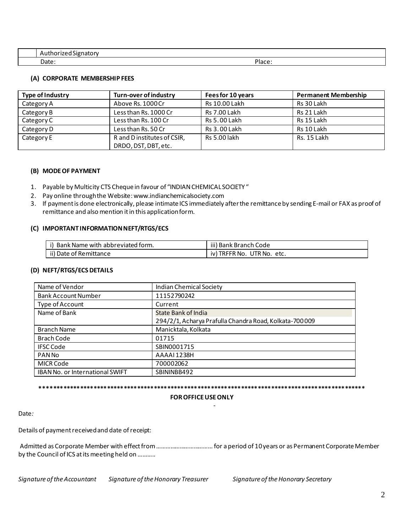| $\sim$<br>Authorized Signatory |                        |
|--------------------------------|------------------------|
| Date:                          | <b>DIaco</b><br>TidCE. |

#### **(A) CORPORATE MEMBERSHIP FEES**

| Type of Industry                          | <b>Turn-over of industry</b> | Fees for 10 years   | <b>Permanent Membership</b> |
|-------------------------------------------|------------------------------|---------------------|-----------------------------|
| Category A                                | Above Rs. 1000 Cr            | Rs 10.00 Lakh       | Rs 30 Lakh                  |
| Category B                                | Less than Rs. 1000 Cr        | <b>Rs 7.00 Lakh</b> | Rs 21 Lakh                  |
| Category C                                | Less than Rs. 100 Cr         | Rs 5.00 Lakh        | Rs 15 Lakh                  |
| Category D                                | Less than Rs. 50 Cr          | Rs 3.00 Lakh        | Rs 10 Lakh                  |
| Category E<br>R and D institutes of CSIR, |                              | Rs 5.00 lakh        | Rs. 15 Lakh                 |
|                                           | DRDO, DST, DBT, etc.         |                     |                             |

#### **(B) MODE OF PAYMENT**

- 1. Payable by Multicity CTS Cheque in favour of "INDIAN CHEMICAL SOCIETY "
- 2. Pay online through the Website: www.indianchemicalsociety.com
- 3. If payment is done electronically, please intimate ICS immediately after the remittance by sending E-mail or FAX as proof of remittance and also mention it in this application form.

#### **(C) IMPORTANT INFORMATION NEFT/RTGS/ECS**

| b Bank Name with abbreviated form. | iii) Bank Branch Code              |
|------------------------------------|------------------------------------|
| ii) Date of Remittance             | ) TRFFR No. UTR No.<br>iv)<br>etc. |

#### **(D) NEFT/RTGS/ECS DETAILS**

| Name of Vendor                  | Indian Chemical Society                                |
|---------------------------------|--------------------------------------------------------|
| <b>Bank Account Number</b>      | 11152790242                                            |
| Type of Account                 | Current                                                |
| Name of Bank                    | State Bank of India                                    |
|                                 | 294/2/1, Acharya Prafulla Chandra Road, Kolkata-700009 |
| <b>Branch Name</b>              | Manicktala, Kolkata                                    |
| Brach Code                      | 01715                                                  |
| <b>IFSC Code</b>                | SBIN0001715                                            |
| <b>PAN No</b>                   | AAAAI1238H                                             |
| <b>MICR Code</b>                | 700002062                                              |
| IBAN No. or International SWIFT | SBININBB492                                            |

#### **\*\*\*\*\*\*\*\*\*\*\*\*\*\*\*\*\*\*\*\*\*\*\*\*\*\*\*\*\*\*\*\*\*\*\*\*\*\*\*\*\*\*\*\*\*\*\*\*\*\*\*\*\*\*\*\*\*\*\*\*\*\*\*\*\*\*\*\*\*\*\*\*\*\*\*\*\*\*\*\*\*\*\*\*\*\*\*\*\*\*\*\*\*\*\*\*\***

#### **FOR OFFICE USE ONLY**

Date*:* 

Details of payment received and date of receipt:

Admitted as Corporate Member with effect from ……………………………... for a period of 10 years or as Permanent Corporate Member by the Council of ICS at its meeting held on ………..

Signature of the Accountant Signature of the Honorary Treasurer Signature of the Honorary Secretary

the contract of the contract of the contract of the contract of the contract of